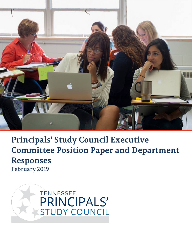

**Principals' Study Council Executive Committee Position Paper and Department Responses** February 2019

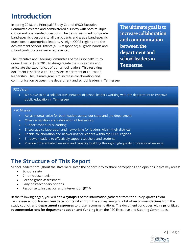## **Introduction**

In spring 2018, the Principals' Study Council (PSC) Executive Committee created and administered a survey with both multiplechoice and open-ended questions. The design assigned non-grade band-specific questions to all participants and grade band-specific questions to appropriate leaders. All eight CORE regions and the Achievement School District (ASD) responded; all grade bands and school configurations were represented.

The Executive and Steering Committees of the Principals' Study Council met in June 2018 to disaggregate the survey data and articulate the experiences of our school leaders. This resulting document is shared with Tennessee Department of Education leadership. The ultimate goal is to increase collaboration and

**The ultimate goal is to increase collaboration and communication between the department and school leaders in Tennessee.**

communication between the department and school leaders in Tennessee.

#### PSC Vision

• We strive to be a collaborative network of school leaders working with the department to improve public education in Tennessee.

#### PSC Mission

- Act as mutual voice for both leaders across our state and the department
- Offer recognition and celebration of leadership
- Support continuous learning
- Encourage collaboration and networking for leaders within their districts
- Enable collaboration and networking for leaders within the CORE regions
- Empower leaders to effectively support teachers and students
- Provide differentiated learning and capacity building through high-quality professional learning

## **The Structure of This Report**

School leaders throughout the state were given the opportunity to share perceptions and opinions in five key areas:

- School safety
- Chronic absenteeism
- Second grade assessment
- Early postsecondary options
- Response to Instruction and Intervention (RTI2)

In the following pages, you will find a **synopsis** of the information gathered from the survey, **quotes** from Tennessee school leaders, **key data points** taken from the survey analysis, a list of **recommendations** from the study council, and **department responses** to those recommendations. The document concludes with a **prioritized recommendations for department action and funding** from the PSC Executive and Steering Committees.

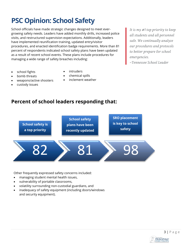



Other frequently expressed safety concerns included:

- managing student mental health issues,
- vulnerability of portable classrooms,
- volatility surrounding non-custodial guardians, and
- inadequacy of safety equipment (including doors/windows and security equipment).



- **Percent of school leaders responding that:**
- school fights
- bomb threats
- weapons/active shooters

**School safety is a top priority**

- custody issues
- intruders
- chemical spills
- inclement weather

**School safety plans have been recently updated** *emergencies.* 

**SRO placement is key to school safety**

*~Tennessee School Leader*

*It is my #1 top priority to keep all students and all personnel safe. We continually analyze our procedures and protocols to better prepare for school* 

## **PSC Opinion: School Safety**

School officials have made strategic changes designed to meet evergrowing safety needs. Leaders have added monthly drills, increased police visits, and restructured supervision expectations. Additionally, leaders have implemented reunification training, updated entry/visitor procedures, and enacted identification badge requirements. More than 81 percent of respondents indicated school safety plans have been updated as a result of recent school events. These plans include procedures for managing a wide range of safety breaches including: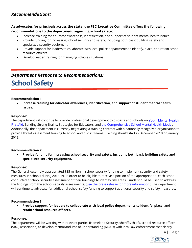#### *Recommendations:*

#### **As advocates for principals across the state, the PSC Executive Committee offers the following recommendations to the department regarding school safety:**

- Increase training for educator awareness, identification, and support of student mental health issues.
- Provide funding for increasing school security and safety, including both basic building safety and specialized security equipment.
- Provide support for leaders to collaborate with local police departments to identify, place, and retain school resource officers.
- Develop leader training for managing volatile situations.

## *Department Response to Recommendations:* **School Safety**

#### **Recommendation 1:**

• **Increase training for educator awareness, identification, and support of student mental health issues.**

#### **Response:**

The department will continue to provide professional development to districts and schools on Youth Mental Health [First Aid,](https://www.tn.gov/education/health-and-safety/school-based-mental-health-supports.html) Building Strong Brains: Strategies for Educators, and [the Comprehensive School Mental Health Model.](https://www.tn.gov/content/dam/tn/education/safety/Comp_School_Mental_Health_Guide.pdf) Additionally, the department is currently negotiating a training contract with a nationally recognized organization to provide threat assessment training to school and district teams. Training should start in December 2018 or January 2019.

#### **Recommendation 2:**

• **Provide funding for increasing school security and safety, including both basic building safety and specialized security equipment.**

#### **Response:**

The General Assembly appropriated \$35 million in school security funding to implement security and safety measures in schools during 2018-19. In order to be eligible to receive a portion of the appropriation, each school conducted a school security assessment of their buildings to identity risk areas. Funds should be used to address the findings from the school security assessments. [\(See the press release](https://www.tn.gov/governor/news/2018/8/14/haslam-announces-completion-of-statewide-school-safety-assessment-and-release-of--35-million-to-improve-school-security.html) for more information.) The department will continue to advocate for additional school safety funding to support additional security and safety measures.

#### **Recommendation 3:**

• **Provide support for leaders to collaborate with local police departments to identify, place, and retain school resource officers.** 

#### **Response:**

The department will be working with relevant parties [Homeland Security, sheriffs/chiefs, school resource officer (SRO) association] to develop memorandums of understanding (MOUs) with local law enforcement that clearly

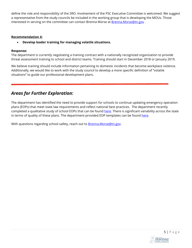define the role and responsibility of the SRO. Involvement of the PSC Executive Committee is welcomed. We suggest a representative from the study councils be included in the working group that is developing the MOUs. Those interested in serving on the committee can contact Brenna Morse at [Brenna.Morse@tn.gov](mailto:Brenna.Morse@tn.gov)

#### **Recommendation 4:**

• **Develop leader training for managing volatile situations.**

#### **Response:**

The department is currently negotiating a training contract with a nationally recognized organization to provide threat assessment training to school and district teams. Training should start in December 2018 or January 2019.

We believe training should include information pertaining to domestic incidents that become workplace violence. Additionally, we would like to work with the study council to develop a more specific definition of "volatile situations" to guide our professional development plans.

#### *Areas for Further Exploration:*

The department has identified the need to provide support for schools to continue updating emergency operation plans (EOPs) that meet state law requirements and reflect national best practices. The department recently completed a qualitative study of school EOPs that can be foun[d here.](https://www.tn.gov/content/dam/tn/education/reports/school_security_preparedness_report.pdf) There is significant variability across the state in terms of quality of these plans. The department-provided EOP templates can be found here.

With questions regarding school safety, reach out to **Brenna.Morse@tn.gov.** 

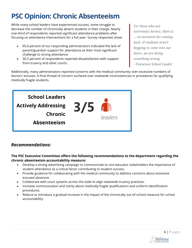## **PSC Opinion: Chronic Absenteeism**

While many school leaders have experienced success, some struggle to decrease the number of chronically absent students in their charge. Nearly one-third of respondents reported significant attendance problems after focusing on attendance interventions for a full year. Survey responses show:

- 65.6 percent of our responding administrators indicated the lack of parent/guardian support for attendance as their most significant challenge to strong attendance.
- 56.5 percent of respondents reported dissatisfaction with support from truancy and other courts.

*For those who are extremely chronic, there is … no incentive for coming back. If students aren't begging to come into our doors, we are doing something wrong.* 

*~Tennessee School Leader*

Additionally, many administrators reported concerns with the medical community over excessive numbers of doctors' excuses. A final thread of concern surfaced over statewide inconsistencies in procedures for qualifying medically fragile students.



#### *Recommendations:*

**The PSC Executive Committee offers the following recommendations to the department regarding the chronic absenteeism accountability measure:** 

- Develop a strong advertising campaign to communicate to non-educator stakeholders the importance of student attendance as a critical factor contributing to student success.
- Provide guidance for collaborating with the medical community to address concerns about excessive excused absences.
- Collaborate with court systems across the state to align statewide truancy practices.
- Increase communication and clarity about medically fragile qualifications and uniform identification procedures.
- Reduce or introduce a gradual increase in the impact of the chronically out-of-school measure for school accountability.

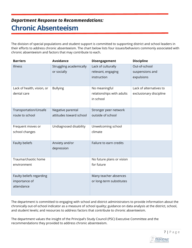#### *Department Response to Recommendations:*

## **Chronic Absenteeism**

The division of special populations and student support is committed to supporting district and school leaders in their efforts to address chronic absenteeism. The chart below lists four issues/behaviors commonly associated with chronic absenteeism and factors that may contribute to each.

| <b>Barriers</b>            | <b>Avoidance</b>        | Disengagement             | <b>Discipline</b>       |
|----------------------------|-------------------------|---------------------------|-------------------------|
| Illness                    | Struggling academically | Lack of culturally        | Out-of-school           |
|                            | or socially             | relevant, engaging        | suspensions and         |
|                            |                         | instruction               | expulsions              |
|                            |                         |                           |                         |
| Lack of health, vision, or | <b>Bullying</b>         | No meaningful             | Lack of alternatives to |
| dental care                |                         | relationships with adults | exclusionary discipline |
|                            |                         | in school                 |                         |
|                            |                         |                           |                         |
| Transportation/Unsafe      | Negative parental       | Stronger peer network     |                         |
| route to school            | attitudes toward school | outside of school         |                         |
|                            |                         |                           |                         |
| Frequent moves or          | Undiagnosed disability  | Unwelcoming school        |                         |
| school changes             |                         | climate                   |                         |
|                            |                         |                           |                         |
| Faulty beliefs             | Anxiety and/or          | Failure to earn credits   |                         |
|                            | depression              |                           |                         |
|                            |                         |                           |                         |
| Trauma/chaotic home        |                         | No future plans or vision |                         |
| environment                |                         | for future                |                         |
|                            |                         |                           |                         |
| Faulty beliefs regarding   |                         | Many teacher absences     |                         |
| importance of              |                         | or long-term substitutes  |                         |
| attendance                 |                         |                           |                         |
|                            |                         |                           |                         |

The department is committed to engaging with school and district administrators to provide information about the chronically out-of-school indicator as a measure of school quality; guidance on data analysis at the district, school, and student levels; and resources to address factors that contribute to chronic absenteeism.

The department values the insight of the Principal's Study Council (PSC) Executive Committee and the recommendations they provided to address chronic absenteeism.

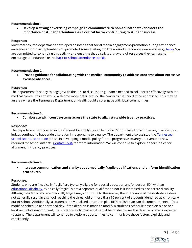#### **Recommendation 1:**

• **Develop a strong advertising campaign to communicate to non-educator stakeholders the importance of student attendance as a critical factor contributing to student success.** 

#### **Response:**

Most recently, the department developed an intentional social media engagement/promotion during attendance awareness month in September and promoted some existing toolkits around attendance awareness (e.g., [here\)](https://twitter.com/TNedu/status/903617684033728512/photo/1). We are committed to continuing this activity and ensuring that districts are aware of resources they can use to encourage attendance like the [back-to-school attendance](https://www.tn.gov/education/student-support/chronic-absenteeism.html) toolkit.

#### **Recommendation 2:**

• **Provide guidance for collaborating with the medical community to address concerns about excessive excused absences.** 

#### **Response:**

The department is happy to engage with the PSC to discuss the guidance needed to collaborate effectively with the medical community and would welcome more detail around the concerns that need to be addressed. This may be an area where the Tennessee Department of Health could also engage with local communities.

#### **Recommendation 3:**

• **Collaborate with court systems across the state to align statewide truancy practices.** 

#### **Response:**

The department participated in the General Assembly's Juvenile Justice Reform Task Force; however, juvenile court judges continue to have wide discretion in responding to truancy. The department also assisted the Tennessee [School Board Association](https://tsba.net/) (TSBA) in developing a model policy for the progressive truancy interventions now required for school districts. [Contact TSBA](mailto:communications@tsba.net) for more information. We will continue to explore opportunities for alignment in truancy practices.

#### **Recommendation 4:**

• **Increase communication and clarity about medically fragile qualifications and uniform identification procedures.** 

#### **Response:**

Students who are "medically fragile" are typically eligible for special education and/or section 504 with an [educational disability.](https://www.tn.gov/education/student-support/special-education/special-education-evaluation-eligibility.html) "Medically fragile" is not a separate qualification nor is it identified as a separate disability. Although students who are medically fragile may contribute to this metric, the attendance of these students does not generally result in a school reaching the threshold of more than 10 percent of students identified as chronically out-of-school. Additionally, a student's individualized education plan (IEP) or 504 plan can document the need for a modified schedule or shortened day. If the decision is made to modify a student's schedule based on his or her least restrictive environment, the student is only marked absent if he or she misses the days he or she is expected to attend. The department will continue to explore opportunities to communicate these factors explicitly and consistently.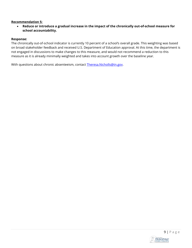#### **Recommendation 5:**

• **Reduce or introduce a gradual increase in the impact of the chronically out-of-school measure for school accountability.** 

#### **Response:**

The chronically out-of-school indicator is currently 10 percent of a school's overall grade. This weighting was based on broad stakeholder feedback and received U.S. Department of Education approval. At this time, the department is not engaged in discussions to make changes to this measure, and would not recommend a reduction to this measure as it is already minimally weighted and takes into account growth over the baseline year.

With questions about chronic absenteeism, contact Theresa.Nicholls@tn.gov.

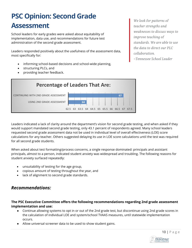## **PSC Opinion: Second Grade Assessment**

School leaders for early grades were asked about equitability of implementation, data use, and recommendations for future test administration of the second grade assessment.

Leaders responded positively about the usefulness of the assessment data, most specifically for:

- informing school-based decisions and school-wide planning,
- structuring PLCs, and
- providing teacher feedback.

*We look for patterns of teacher strengths and weaknesses to discuss ways to improve teaching of standards. We are able to use the data to direct our PLC collaboration.*

*~Tennessee School Leader*



Leaders indicated a lack of clarity around the department's vision for second grade testing, and when asked if they would support mandated second grade testing, only 43.1 percent of respondents agreed. Many school leaders requested second grade assessment data not be used in individual level of overall effectiveness (LOE) score calculations for any teacher. Others suggested delaying its use in LOE score calculations until the test was required for all second grade students.

When asked about test formatting/process concerns, a single response dominated: principals and assistant principals, almost to a person, indicated student anxiety was widespread and troubling. The following reasons for student anxiety surfaced repeatedly:

- unsuitability of testing for the age group,
- copious amount of testing throughout the year, and
- lack of alignment to second grade standards.

#### *Recommendations:*

#### **The PSC Executive Committee offers the following recommendations regarding 2nd grade assessment implementation and use:**

- Continue allowing systems to opt in or out of the 2nd grade test, but discontinue using 2nd grade scores in the calculation of individual LOE and system/school TVAAS measures, until statewide implementation occurs.
- Allow universal screener data to be used to show student gains.

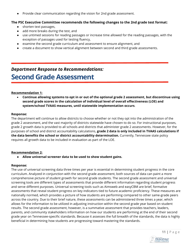● Provide clear communication regarding the vision for 2nd grade assessment.

#### **The PSC Executive Committee recommends the following changes to the 2nd grade test format:**

- shorten text passages,
- add more breaks during the test, and
- use untimed sessions for reading passages or increase time allowed for the reading passages, with the exception of passages used for testing fluency,
- examine the second grade curriculum and assessment to ensure alignment, and
- create a document to show vertical alignment between second and third grade assessments.

#### *Department Response to Recommendations:*

## **Second Grade Assessment**

#### **Recommendation 1:**

• **Continue allowing systems to opt in or out of the optional grade 2 assessment, but discontinue using second grade scores in the calculation of individual level of overall effectiveness (LOE) and system/school TVAAS measures, until statewide implementation occurs**.

#### **Response:**

The department will continue to allow districts to choose whether or not they opt into the administration of the grade 2 assessment, and the vast majority of districts statewide have chosen to do so. For instructional purposes, grade 2 growth data is provided to all schools and districts that administer grade 2 assessments. However, for the purposes of school and district accountability calculations, **grade 2 data is only included in TVAAS calculations if the data benefits the school or district accountability determination.** Currently, Tennessee state policy requires all growth data to be included in evaluation as part of the LOE.

#### **Recommendation 2:**

● **Allow universal screener data to be used to show student gains.** 

#### **Response:**

The use of universal screening data three times per year is essential in determining student progress in the core curriculum. Analyzed in conjunction with the second grade assessment, both sources of data can paint a more comprehensive picture of student growth for second grade students. The second grade assessment and universal screening tools are different types of assessments that provide different information regarding student progress and serve different purposes. Universal screening tools such as Aimsweb and easyCBM are brief, formative assessments that reveal student progress on key indicators tied to future academic proficiency. These measures are nationally normed, which provides a picture of how students are performing compared to other same-grade peers across the country. Due to their brief nature, these assessments can be administered three times a year, which allows for the information to be utilized in adjusting instruction within the second grade year based on student results. The second grade assessment, however, is a summative assessment that provides teachers, leaders, parents, and community stakeholders information on how our students are performing at the end of their second grade year on Tennessee-specific standards. Because it assesses the full breadth of the standards, the data is highly beneficial in determining how students are progressing toward mastering the standards.

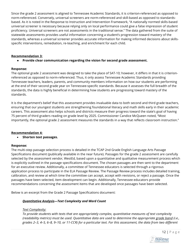Since the grade 2 assessment is aligned to Tennessee Academic Standards, it is criterion-referenced as opposed to norm-referenced. Conversely, universal screeners are norm-referenced and skill-based as opposed to standardsbased. As it is noted in the Response to Instruction and Intervention Framework, "A nationally normed skills-based universal screener is necessary because relying only on local performance could give a false impression of student proficiency. Universal screeners are not assessments in the traditional sense." The data gathered from the suite of statewide assessments provides useful information concerning a student's progression toward mastery of the standards, whereas a universal screener provides accurate information for making informed decisions about skillsspecific interventions, remediation, re-teaching, and enrichment for each child.

#### **Recommendation 3:**

#### ● **Provide clear communication regarding the vision for second grade assessment.**

#### **Response:**

The optional grade 2 assessment was designed to take the place of SAT-10; however, it differs in that it is criterionreferenced as opposed to norm-referenced. Thus, it only assess Tennessee Academic Standards providing Tennessee teachers, leaders, parents, and community members information on how our students are performing at the end of their second grade year on Tennessee-specific standards. Because it assesses the full breadth of the standards, the data is highly beneficial in determining how students are progressing toward mastery of the standards.

It is the department's belief that this assessment provides invaluable data to both second and third grade teachers, ensuring that our youngest students are strengthening foundational literacy and math skills early in their academic careers. This assessment also helps schools and districts measure their progress toward the state's goal of having 75 percent of third graders reading on grade level by 2025. Commissioner Candice McQueen noted, "Most importantly, the optional grade 2 assessment measures the standards in a way that reflects classroom instruction."

#### **Recommendation 4:**

• **Shorten text passages.**

#### **Response:**

The multi-step passage selection process is detailed in the TCAP 2nd Grade English Language Arts Passage Specifications document (publically available in the near future). Passages for the grade 2 assessment are carefully selected by the assessment vendor, WestEd, based upon a quantitative and qualitative measurement process which is explicitly outlined in the passage specifications document. The chosen passages are then sent to the department for an executive review. Additionally, a committee of Tennessee educators is selected through a rigorous application process to participate in the ELA Passage Review. The Passage Review process includes detailed training, calibration, and review at which time the committee can accept, accept with revisions, or reject a passage. Once the passages have been selected, item development can begin. Additionally, Tennessee educators provide recommendations concerning the assessment items that are developed once passages have been selected.

Below is an excerpt from the Grade 2 Passage Specifications document:

#### *Quantitative Analysis—Text Complexity and Word Count*

#### *Text Complexity:*

*To provide students with texts that are appropriately complex, quantitative measures of text complexity (readability metrics) must be used. Quantitative data are used to determine the appropriate grade band (i.e., grades 2–3, 4–5, 6–8, 9–10, or 11-CCR) for a particular text. For this assessment, the data from two different*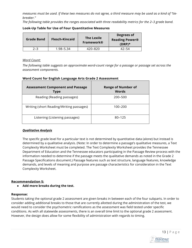*measures must be used. If these two measures do not agree, a third measure may be used as a kind of "tiebreaker."*

*The following table provides the ranges associated with three readability metrics for the 2–3 grade band.*

| Grade Band | <b>Flesch-Kincaid</b> | <b>The Lexile</b><br>Framework® | Degrees of<br><b>Reading Power®</b><br>$(DRP)^*$ |
|------------|-----------------------|---------------------------------|--------------------------------------------------|
| 2–3        | 1.98–5.34             | 420-820                         | $42 - 54$                                        |

#### **Look-Up Table for Use of Four Quantitative Measures**

#### *Word Count:*

*The following table suggests an approximate word-count range for a passage or passage set across the assessment components.*

#### **Word Count for English Language Arts Grade 2 Assessment**

| <b>Assessment Component and Passage</b><br>Type | <b>Range of Number of</b><br>Words |
|-------------------------------------------------|------------------------------------|
| Reading (Reading passages)                      | 200-500                            |
| Writing (short Reading/Writing passages)        | 100–200                            |
| Listening (Listening passages)                  | $80 - 125$                         |

#### *Qualitative Analysis*

The specific grade level for a particular text is not determined by quantitative data (alone) but instead is determined by a qualitative analysis. (Note: In order to determine a passage's qualitative measures, a Text Complexity Worksheet must be completed. The Text Complexity Worksheet provides the Tennessee Department of Education and the Tennessee educators participating in the Passage Review process with the information needed to determine if the passage meets the qualitative demands as noted in the Grade 2 Passage Specifications document.) Passage features such as text structure, language features, knowledge demands, and levels of meaning and purpose are passage characteristics for consideration in the Text Complexity Worksheet.

#### **Recommendation 5:**

● **Add more breaks during the test.**

#### **Response:**

Students taking the optional grade 2 assessment are given breaks in between each of the four subparts. In order to consider adding additional breaks to those that are currently allotted during the administration of the test, we would need to consider the psychometric ramifications as the assessment was field tested under specific conditions. As with all statewide assessments, there is an overall time limit to the optional grade 2 assessment. However, the design does allow for some flexibility of administration with regards to timing.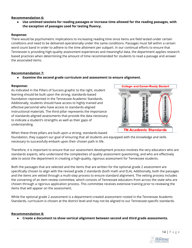#### **Recommendation 6:**

Use untimed sessions for reading passages or increase time allowed for the reading passages, with **the exception of passages used for testing fluency.**

#### **Response:**

There would be psychometric implications to increasing reading time since items are field tested under certain conditions and need to be delivered operationally under the same conditions. Passages must fall within a certain word count band in order to adhere to the time allotment per subpart. In our continual efforts to ensure that Tennessee is providing high-quality assessment experiences and meaningful data, the department applies research based practices when determining the amount of time recommended for students to read a passage and answer the associated items.

#### **Recommendation 7:**

● **Examine the second grade curriculum and assessment to ensure alignment.**

#### **Response:**

As indicated in the Pillars of Success graphic to the right, student learning should be built upon the strong, standards-based foundation represented in the Tennessee Academic Standards. Additionally, students should have access to highly trained and effective personnel who have access to standards-aligned instructional materials. The third pillar represents the importance of standards-aligned assessments that provide the data necessary to indicate a student's strengths as well as their gaps of understanding.



When these three pillars are built upon a strong, standards-based

foundation, they support our goal of ensuring that all students are equipped with the knowledge and skills necessary to successfully embark upon their chosen path in life.

Therefore, it is important to ensure that our assessment development process involves the very educators who are standards experts, who understand the complexities of quality assessment questioning, and who are effectively able to assist the department in creating a high-quality, rigorous assessment for Tennessee students.

Both the passages that are selected and the items that are written for the optional grade 2 assessment are specifically chosen to align with the revised grade 2 standards (both math and ELA). Additionally, both the passages and the items are vetted through a multi-step process to ensure standard alignment. The vetting process includes the convening of an item review committee, which consists of Tennessee educators from across the state who are chosen through a rigorous application process. This committee receives extensive training prior to reviewing the items that will appear on the assessment.

While the optional grade 2 assessment is a department-created assessment rooted in the Tennessee Academic Standards, curriculum is chosen at the district level and may not be aligned to our Tennessee-specific standards.

#### **Recommendation 8:**

● **Create a document to show vertical alignment between second and third grade assessments.**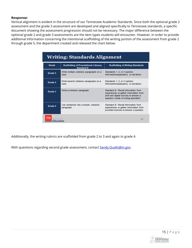#### **Response:**

Vertical alignment is evident in the structure of our Tennessee Academic Standards. Since both the optional grade 2 assessment and the grade 3 assessment are developed and aligned specifically to Tennessee standards, a specific document showing the assessment progression should not be necessary. The major difference between the optional grade 2 and grade 3 assessments are the item types students will encounter. However, in order to provide additional information concerning the intentional scaffolding of the writing portion of the assessment from grade 2 through grade 5, the department created and released the chart below:

| Writing: Standards Alignment    |                                                           |                                                                                                                                                                 |  |  |
|---------------------------------|-----------------------------------------------------------|-----------------------------------------------------------------------------------------------------------------------------------------------------------------|--|--|
| Grade                           | <b>Scaffolding of Foundational Literacy</b><br>Standard 6 | <b>Scaffolding of Writing Standards</b>                                                                                                                         |  |  |
| Grade 5                         | Write multiple cohesive paragraphs on a<br>topic.         | Standards 1, 2, or 3 (opinion,<br>informative/explanatory, or narrative)                                                                                        |  |  |
| Grade 4                         | Write several cohesive paragraphs on a<br>topic.          | Standards 1, 2, or 3 (opinion,<br>informative/explanatory, or narrative)                                                                                        |  |  |
| Grade 3                         | Write a cohesive paragraph.                               | Standard 8 - Recall information from<br>experiences or gather information from<br>print and digital sources to answer a<br>question (mode of writing specified) |  |  |
| Grade 2                         | Link sentences into a simple, cohesive<br>paragraph.      | Standard 8 - Recall information from<br>experiences or gather information from<br>provided sources to answer a question.                                        |  |  |
| spartment of<br>38<br>Education |                                                           |                                                                                                                                                                 |  |  |

Additionally, the writing rubrics are scaffolded from grade 2 to 3 and again to grade 4.

With questions regarding second grade assessment, contact [Sandy.Qualls@tn.gov.](mailto:Sandy.Qualls@tn.gov)

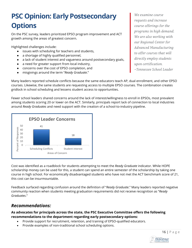## **PSC Opinion: Early Postsecondary Options**

On the PSC survey, leaders prioritized EPSO program improvement and ACT growth among the areas of greatest concern.

Highlighted challenges include:

- issues with scheduling for teachers and students,
- a shortage of highly qualified personnel,
- a lack of student interest and vagueness around postsecondary goals,
- a need for greater support from local industry,
- concerns over the cost of EPSO completion, and
- misgivings around the term "*Ready Graduate*."

Many leaders reported schedule conflicts because the same educators teach AP, dual enrollment, and other EPSO courses. Likewise, the same students are requesting access to multiple EPSO courses. The combination creates gridlock in school scheduling and lessens student access to opportunities.

Fewer school leaders shared concerns around the lack of interest/willingness to enroll in EPSOs, most prevalent among students scoring 20 or lower on the ACT. Similarly, principals report lack of connection to local industries around *Ready Graduates* and need support with the creation of a school-to-industry pipeline.



Cost was identified as a roadblock for students attempting to meet the *Ready Graduate* indicator. While HOPE scholarship money can be used for this, a student can spend an entire semester of the scholarship by taking one course in high school. For economically disadvantaged students who have not met the ACT benchmark score of 21, this cost can be insurmountable.

Feedback surfaced regarding confusion around the definition of "*Ready Graduate*." Many leaders reported negative community reaction when students meeting graduation requirements did not receive recognition as "*Ready Graduates*."

### *Recommendations:*

#### **As advocates for principals across the state, the PSC Executive Committee offers the following recommendations to the department regarding early postsecondary options:**

- Provide support for recruitment, retention, and training of EPSO-qualified educators.
- Provide examples of non-traditional school scheduling options.

*We examine course requests and increase course offerings for the programs in high demand. We are also working with our Regional Center for Advanced Manufacturing to offer courses that will directly employ students upon certification.* 

*~Tennessee School Leader*

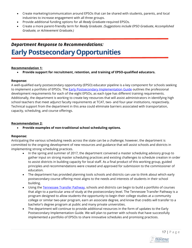- Create marketing/communication around EPSOs that can be shared with students, parents, and local industries to increase engagement with all three groups.
- Provide additional funding options for all *Ready Graduate*-required EPSOs.
- Create a more parent-friendly term for *Ready Graduate. (Suggestions include EPSO Graduate, Accomplished Graduate, or Achievement Graduate.)*

## *Department Response to Recommendations:* **Early Postsecondary Opportunities**

#### **Recommendation 1:**

• **Provide support for recruitment, retention, and training of EPSO-qualified educators.** 

#### **Response:**

A well-qualified early postsecondary opportunity (EPSO) educator pipeline is a key component for schools seeking to implement a portfolio of EPSOs. The [Early Postsecondary Implementation Guide](https://www.tn.gov/content/dam/tn/education/ccte/eps/EPSO_Implementation_Guide_FINAL.pdf) outlines the professional development requirements for each of the eight EPSOs, as each type has different training requirements. Additionally, the department is working to create key resources that will assist administrators in identifying high school teachers that meet adjunct faculty requirements at TCAT, two- and four-year institutions, respectively. Technical support from the department in this area could eliminate barriers associated with transportation, capacity, scheduling, and course offerings.

#### **Recommendation 2:**

• **Provide examples of non-traditional school scheduling options.** 

#### **Response:**

Anticipating the various scheduling needs across the state can be a challenge; however, the department is committed to the ongoing development of new resources and guidance that will assist schools and districts in implementing strong scheduling practices.

- In the spring and summer of 2017, the department convened a master scheduling advisory group to gather input on strong master scheduling practices and existing challenges to schedule creation in order to assist districts in building capacity for local staff. As a final product of this working group, guided principles and recommendations were created and approved for submission to the commissioner of education.
- The department has provided planning tools schools and districts can use to think about which early postsecondary course offering most aligns to the needs and interests of students in their school building.
- Using the [Tennessee Transfer Pathway,](http://www.tntransferpathway.org/) schools and districts can begin to build a portfolio of courses that align to a particular area of study at the postsecondary level. The Tennessee Transfer Pathway is a program designed to allow students the opportunity to begin their college studies at a community college or similar two-year program, earn an associate degree, and know that credits will transfer to a bachelor's degree program at public and many private universities.
- The department will continue to provide additional resources in the form of updates to the Early Postsecondary Implementation Guide. We will plan to partner with schools that have successfully implemented a portfolio of EPSOs to share innovative schedules and promising practices.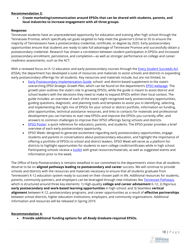#### **Recommendation 3:**

• **Create marketing/communication around EPSOs that can be shared with students, parents, and local industries to increase engagement with all three groups.**

#### **Response:**

Tennessee students have an unprecedented opportunity for education and training after high school through the Tennessee Promise, which specifically set goals targeted to help meet the governor's Drive to 55 to ensure the majority of Tennesseans have a postsecondary credential, certificate, or degree by 2025. Early postsecondary opportunities ensure that students are ready to take full advantage of Tennessee Promise and successfully obtain a postsecondary credential. Research has shown a correlation between student participation in EPSOs and increased postsecondary enrollment, persistence, and completion—as well as stronger performance on college and career readiness assessments, such as the ACT.

With a renewed focus on K-12 education and early postsecondary courses through the [Every Student Succeeds Act](https://www.tn.gov/content/tn/education/essa.html) (ESSA), the department has developed a suite of resources and materials to assist schools and districts in expanding early postsecondary offerings for all students. Key resources and materials include, but are not limited, to:

- [Early Postsecondary Implementation Guide:](https://www.tn.gov/content/dam/tn/education/ccte/eps/EPSO_Implementation_Guide_FINAL.pdf) school- and district-based supplement to the state's overarching *EPSO Strategic Growth Plan*, which can be found on the department's [EPSO webpage.](https://www.tn.gov/education/early-postsecondary.html) The growth plan outlines the state's role in growing EPSOs, while the guide is meant to assist district and school leaders with the decisions they need to make to expand EPSOs within their local context. The guide includes: an overview of each of the state's eight recognized early postsecondary opportunities, guiding questions, diagnostic, and planning tools and templates to assist you in identifying, selecting, and implementing the right mix of EPSOs for your school or district portfolio, information on funding, pilot opportunities, technical assistance resources, and links to contacts for materials and professional development you can harness to start new EPSOs and improve the EPSOs you currently offer, and answers to common challenges to improve their EPSO offerings facing schools and districts.
- [EPSO Poster:](https://www.tn.gov/content/dam/tn/education/ccte/eps/epso_opportunities_poster_web.pdf) a quick reference for educators, parents, and students. The EPSO poster provides a brief overview of each early postsecondary opportunity.
- EPSO Week: designed to generate excitement regarding early postsecondary opportunities, engage students and parents in conversations about postsecondary education, and highlight the importance of offering a portfolio of EPSOs to school and district leaders. EPSO Week will serve as a platform for districts to highlight opportunities for students to earn college credit/certificates while in high school. Participating schools receive [a toolkit](https://www.tn.gov/content/dam/tn/education/ccte/eps/eps_EPSO_week_imp_guide.pdf) with great resources/materials, as well as suggested events and information prior to the week.

The Office of Early Postsecondary is remains steadfast in our committed to the department's vision that all students deserve to be on **aligned pathways leading to postsecondary and career** success. We will continue to provide schools and districts with the resources and materials necessary to ensure that all students graduate from Tennessee's K-12 education system ready to succeed on their chosen path in life. Additional resources for students, parents, community partners, and employers can be leveraged through new initiatives like Tennessee Pathways, which is structured around three key elements: 1) High-quality **college and career advisement** K-12; 2) Rigorous **early postsecondary and work-based learning opportunities** in high school; and 3) Seamless **vertical alignment** between K-12, postsecondary programs, and career opportunities as a result of **effective partnerships** between school districts, higher education institutions, employers, and community organizations. Additional information and resources will be released in Spring 2019.

#### **Recommendation 4:**

• **Provide additional funding options for all** *Ready Graduate***-required EPSOs.**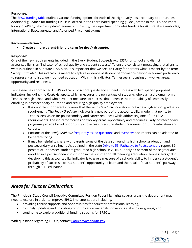#### **Response:**

The **EPSO funding table outlines various funding options for each of the eight early postsecondary opportunities.** Additional guidance for funding EPSOs is located in the coordinated spending guide (located in the LEA document library of ePlan), which is updated annually. Currently, the department provides funding for ACT Retake, Cambridge, International Baccalaureate, and Advanced Placement exams.

#### **Recommendation 5:**

• **Create a more parent-friendly term for** *Ready Graduate***.** 

#### **Response:**

One of the new requirements included in the Every Student Succeeds Act (ESSA) for school and district accountability is an "indicator of school quality and student success." To ensure consistent messaging that aligns to what is outlined in our state ESSA plan, it is important that we seek to clarify for parents what is meant by the term "*Ready Graduate*." This indicator is meant to capture evidence of student performance beyond academic proficiency to represent a holistic, well-rounded education. Within this indicator, Tennessee is focusing on two key areas: opportunity and readiness.

Tennessee has approached ESSA's indicator of school quality and student success with two specific proposed indicators, including the *Ready Graduate*, which measures the percentage of students who earn a diploma from a Tennessee high school and who have met measures of success that increase their probability of seamlessly enrolling in postsecondary education and securing high-quality employment.

- It is important for parents to know that the *Ready Graduate* indicator is not a new high school graduation requirement. The *Ready Graduate* indicator is a new part of the accountability model that points to Tennessee's vision for postsecondary and career readiness while addressing one of the ESSA requirements. The indicator focuses on two key areas: opportunity and readiness. Early postsecondary programs provide broad opportunity and access to ensure student readiness for future education and careers.
- Portions of the *Ready Graduate* [frequently asked questions](https://www.tn.gov/content/dam/tn/education/ccte/ccte_readygrad_FAQ.pdf?mc_cid=867e9c15af&mc_eid=574963048e) and [overview](https://www.us8.list-manage.com/track/click?u=b28b453ee164f9a2e2b5057e1&id=48308aebfe&e=574963048e) documents can be adapted to be parent-facing.
- It may be helpful to share with parents some of the data surrounding high school graduation and postsecondary enrollment. As outlined in the stat[e Drive to 55: Pathways to Postsecondary](https://www.tn.gov/content/dam/tn/education/ccte/ccte_drive_to_55_report_state.pdf) report, 89 percent of Tennessee students graduated high school in 2016, but only 63 percent of those graduates enrolled in a postsecondary institution in the summer or fall following graduation. Tennessee's goal in developing this accountability indicator is to give a measure of a school's ability to influence a student's probability of success—both a student's opportunity to learn and the result of that student's pathway through K-12 education.

#### *Areas for Further Exploration:*

The Principals' Study Council Executive Committee Position Paper highlights several areas the department may need to explore in order to improve EPSO implementation, including:

- providing robust supports and opportunities for educator professional learning,
- routinely updating and providing communication materials for various stakeholder groups, and
- continuing to explore additional funding streams for EPSOs.

With questions regarding EPSOs, contact **Patrice.Watson@tn.gov.**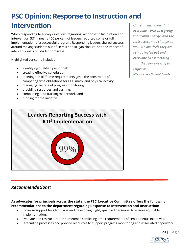## **PSC Opinion: Response to Instruction and Intervention**

When responding to survey questions regarding Response to Instruction and Intervention (RTI<sup>2</sup>), nearly 100 percent of leaders reported some or full implementation of a successful program. Responding leaders shared success around moving students out of Tiers II and III, gap closure, and the impact of interventionists on student progress.

Highlighted concerns included:

- identifying qualified personnel;
- creating effective schedules;
- meeting the RTI<sup>2</sup> time requirements given the constraints of competing time obligations for ELA, math, and physical activity;
- managing the rate of progress monitoring;
- providing resources and training;
- completing data tracking/paperwork; and
- funding for the initiative.

*Our students know that everyone works in a group, the groups change, and the instructors may change as well. No one feels they are being singled out and everyone has something that they are working to improve.* 

*~Tennessee School Leader*

# 99% **Leaders Reporting Success with RTI2 Implemenation**

#### *Recommendations:*

**As advocates for principals across the state, the PSC Executive Committee offers the following recommendations to the department regarding Response to Intervention and Instruction:** 

- Increase support for identifying and developing highly qualified personnel to ensure equitable implementation.
- Evaluate and restructure the sometimes conflicting time requirements of simultaneous initiatives.
- Streamline processes and provide resources to support progress monitoring and associated paperwork.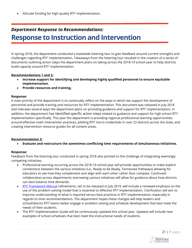Allocate funding for high-quality RTI<sup>2</sup> implementation.

## *Department Response to Recommendations:* **Response to Instruction and Intervention**

In spring 2018, the department conducted a statewide listening tour to gain feedback around current strengths and challenges regarding RTI<sup>2</sup> implementation. Takeaways from the listening tour resulted in the creation of a series of documents outlining action steps the department plans on taking across the 2018-19 school year to help districts build capacity around RTI<sup>2</sup> implementation.

#### **Recommendations 1 and 2:**

- **Increase support for identifying and developing highly qualified personnel to ensure equitable implementation.**
- **Provide resources and training.**

#### **Response:**

A main priority of the department is to continually reflect on the ways in which we support the development of personnel and provide training and resources for RTI2 implementation. [This document](https://www.tn.gov/content/dam/tn/education/special-education/rti/rti2_framework_rev_part_2.pdf) was released in July 2018 and indicates several ways the department plans on providing guidance and support for RTI2 implementation. In addition, the departmen[t has identified specific action steps](https://www.tn.gov/content/dam/tn/education/special-education/rti/rti2_framework_rev_part_3.pdf) related to guidance and support for high school RTI<sup>2</sup> implementation specifically. This year the department is providing regional professional learning opportunities around effective math intervention practices, piloting RTI<sup>2</sup> micro-credentials in over 23 districts across the state, and creating intervention resource guides for all content areas.

#### **Recommendation 3:**

• **Evaluate and restructure the sometimes conflicting time requirements of simultaneous initiatives.**

#### **Response:**

Feedback from the listening tour conducted in spring 2018 also pointed to the challenge of integrating seemingly competing initiatives.

- Professional learning occurring across the 2018-19 school year will provide opportunities to make explicit connections between the various initiatives (i.e., Ready to be Ready, Tennessee Pathways) allowing for educators to see how they complement and align with each other rather than compete. Continued collaboration across departments overseeing various initiatives will allow for guidance about how districts can best balance time demands.
- RTI<sup>2</sup> [Framework Manual](https://www.tn.gov/content/dam/tn/education/special-education/rti/rti2_manual.pdf) refinements, set to be released in July 2019, will include a renewed emphasis on the use of the problem solving model that is essential to effective RTI<sup>2</sup> implementation. Clarification will aim to improve understanding of what is required versus best practices in RTI<sup>2</sup> implementation, especially in regards to time recommendations. The department hopes these changes will help leaders and school/district RTI<sup>2</sup> teams better engage in problem solving and schedule development that best meet the needs of their students.
- The RTI<sup>2</sup> Implementation Guide will be continuously updated this school year. Updates will include new examples of school schedules that best meet the instructional needs of students.

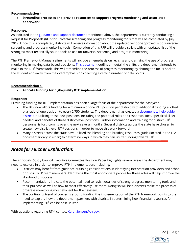#### **Recommendation 4:**

• **Streamline processes and provide resources to support progress monitoring and associated paperwork.**

#### **Response:**

As indicated in the [guidance and support document](https://www.tn.gov/content/dam/tn/education/special-education/rti/rti2_framework_rev_part_2.pdf) mentioned above, the department is currently conducting a Request for Proposals (RFP) for universal screening and progress monitoring tools that will be completed by July 2019. Once this is completed, districts will receive information about the updated vendor-approved list of universal screening and progress monitoring tools. Completion of this RFP will provide districts with an updated list of the strongest most technically sound tools to use for universal screening and progress monitoring.

The RTI2 Framework Manual refinements will include an emphasis on revising and clarifying the use of progress monitoring in making data-based decisions. [This document](https://www.tn.gov/content/dam/tn/education/special-education/rti/rti2_framework_rev_part_1.pdf) outlines in detail the shifts the department intends to make in the RTI<sup>2</sup> framework. This will streamline the process of progress monitoring by shifting the focus back to the student and away from the overemphasis on collecting a certain number of data points.

#### **Recommendation 5:**

• **Allocate funding for high-quality RTI2 implementation.** 

#### **Response:**

Providing funding for RTI<sup>2</sup> implementation has been a large focus of the department for the past year.

- The BEP now allots funding for a minimum of one RTI<sup>2</sup> position per district, with additional funding allotted at a ratio of one position to every 2,750 students. The department has created a document to help guide [districts](https://www.tn.gov/content/dam/tn/education/special-education/rti/District-RTI-Position.pdf) in utilizing these new positions, including the potential roles and responsibilities, specific skill set needed, and benefits of these district-level positions. Further information and training for district RTI2 personnel is forthcoming over the next several months. Several districts across the state have chosen to create new district-level RTI2 positions in order to move this work forward.
- Many districts across the state have utilized the blending and braiding resources guide (located in the LEA document library in ePlan) to determine ways in which they can utilize funding toward RTI2.

#### *Areas for Further Exploration:*

The Principals' Study Council Executive Committee Position Paper highlights several areas the department may need to explore in order to improve RTI<sup>2</sup> implementation, including:

- Districts may benefit from guidance outlining considerations in identifying intervention providers and school or district RTI<sup>2</sup> team members. Identifying the most appropriate people for these roles will help improve the likelihood of success.
- Recommendations indicate the potential need to revisit qualities of strong progress monitoring tools and their purpose as well as how to most effectively use them. Doing so will help districts make the process of progress monitoring most efficient for their system.
- The continuing trend of concerns around funding the implementation of the RTI<sup>2</sup> framework points to the need to explore how the department partners with districts in determining how financial resources for implementing RTI<sup>2</sup> can be best utilized.

With questions regarding RTI<sup>2</sup>, contact [Karen.Jensen@tn.gov.](mailto:Karen.Jensen@tn.gov)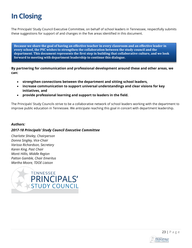## **In Closing**

The Principals' Study Council Executive Committee, on behalf of school leaders in Tennessee, respectfully submits these suggestions for support of and changes in the five areas identified in this document.

**Because we share the goal of having an effective teacher in every classroom and an effective leader in every school, the PSC wishes to strengthen the collaboration between the study council and the department**. **This document represents the first step in building that collaborative culture, and we look forward to meeting with department leadership to continue this dialogue.**

**By partnering for communication and professional development around these and other areas, we can:**

- **strengthen connections between the department and sitting school leaders,**
- **increase communication to support universal understandings and clear visions for key initiatives, and**
- **provide professional learning and support to leaders in the field.**

The Principals' Study Councils strive to be a collaborative network of school leaders working with the department to improve public education in Tennessee. We anticipate reaching this goal in concert with department leadership.

#### *Authors:*

#### *2017-18 Principals' Study Council Executive Committee*

*Charlotte Shivley, Chairperson Donna Singley, Vice-Chair Varissa Richardson, Secretary Karen King, Past Chair Monti Hillis, Middle Region Patton Gamble, Chair Emeritus Martha Moore, TDOE Liaison*